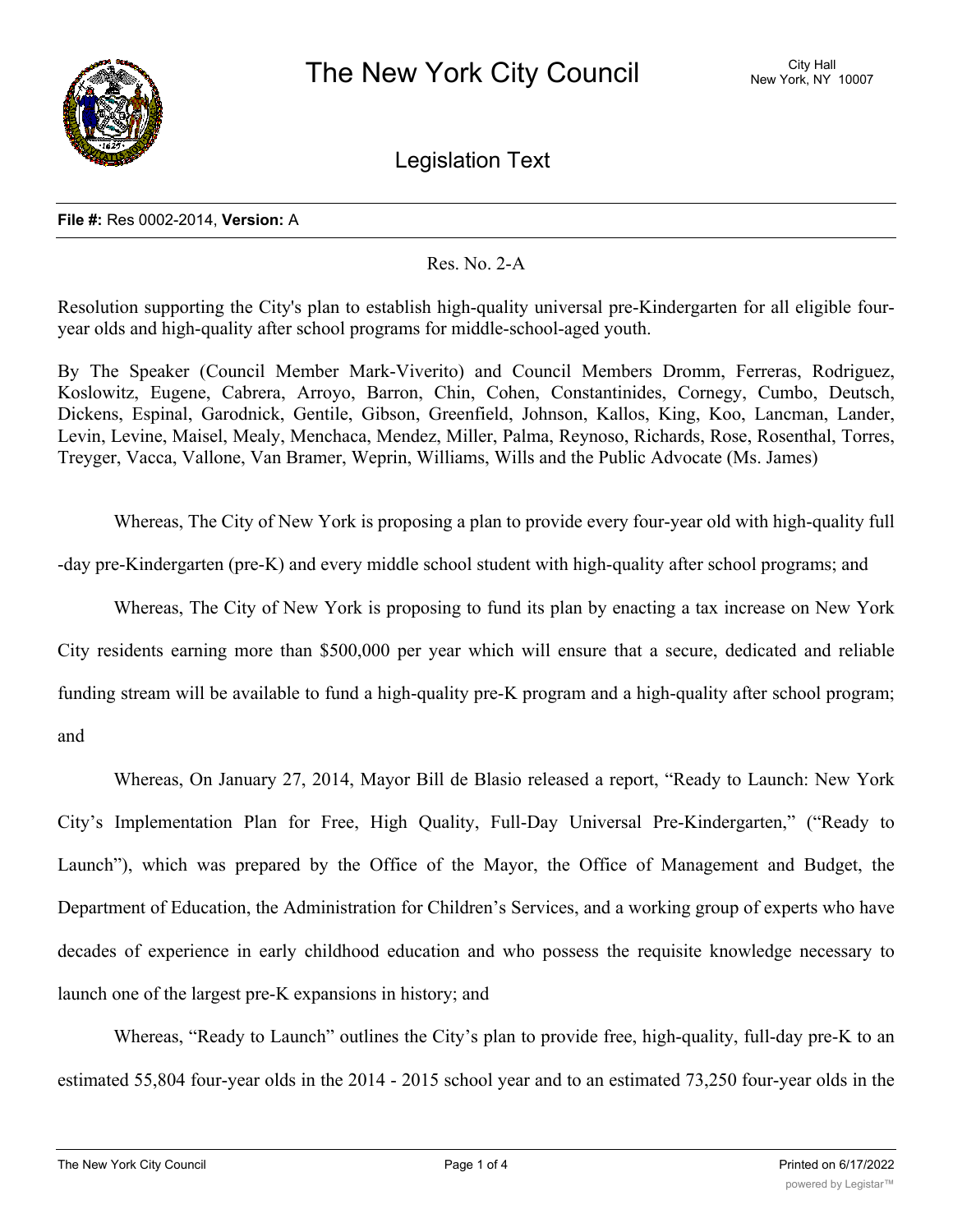

Legislation Text

## **File #:** Res 0002-2014, **Version:** A

## Res. No. 2-A

Resolution supporting the City's plan to establish high-quality universal pre-Kindergarten for all eligible fouryear olds and high-quality after school programs for middle-school-aged youth.

By The Speaker (Council Member Mark-Viverito) and Council Members Dromm, Ferreras, Rodriguez, Koslowitz, Eugene, Cabrera, Arroyo, Barron, Chin, Cohen, Constantinides, Cornegy, Cumbo, Deutsch, Dickens, Espinal, Garodnick, Gentile, Gibson, Greenfield, Johnson, Kallos, King, Koo, Lancman, Lander, Levin, Levine, Maisel, Mealy, Menchaca, Mendez, Miller, Palma, Reynoso, Richards, Rose, Rosenthal, Torres, Treyger, Vacca, Vallone, Van Bramer, Weprin, Williams, Wills and the Public Advocate (Ms. James)

Whereas, The City of New York is proposing a plan to provide every four-year old with high-quality full

-day pre-Kindergarten (pre-K) and every middle school student with high-quality after school programs; and

Whereas, The City of New York is proposing to fund its plan by enacting a tax increase on New York

City residents earning more than \$500,000 per year which will ensure that a secure, dedicated and reliable funding stream will be available to fund a high-quality pre-K program and a high-quality after school program; and

Whereas, On January 27, 2014, Mayor Bill de Blasio released a report, "Ready to Launch: New York City's Implementation Plan for Free, High Quality, Full-Day Universal Pre-Kindergarten," ("Ready to Launch"), which was prepared by the Office of the Mayor, the Office of Management and Budget, the Department of Education, the Administration for Children's Services, and a working group of experts who have decades of experience in early childhood education and who possess the requisite knowledge necessary to launch one of the largest pre-K expansions in history; and

Whereas, "Ready to Launch" outlines the City's plan to provide free, high-quality, full-day pre-K to an estimated 55,804 four-year olds in the 2014 - 2015 school year and to an estimated 73,250 four-year olds in the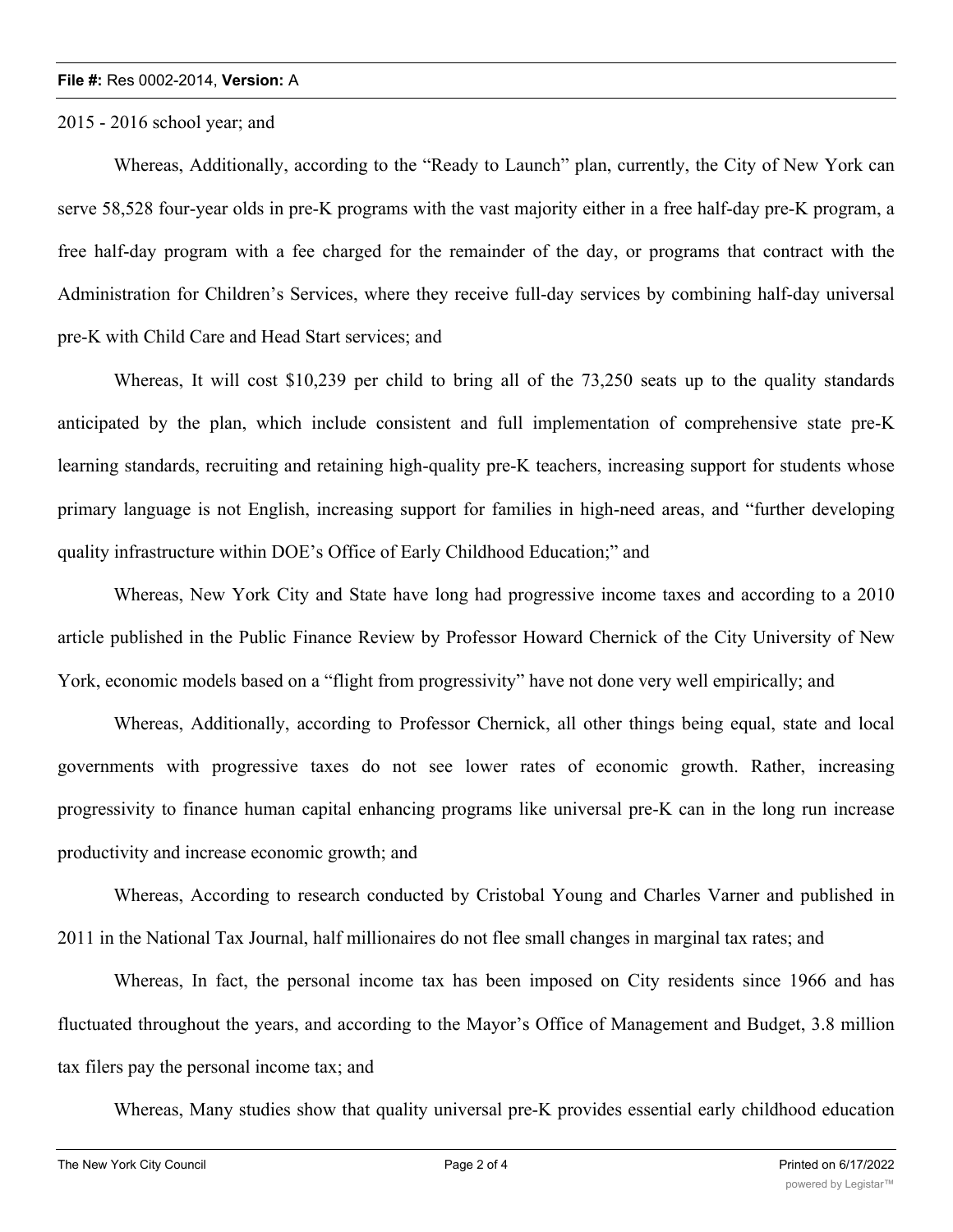## **File #:** Res 0002-2014, **Version:** A

2015 - 2016 school year; and

Whereas, Additionally, according to the "Ready to Launch" plan, currently, the City of New York can serve 58,528 four-year olds in pre-K programs with the vast majority either in a free half-day pre-K program, a free half-day program with a fee charged for the remainder of the day, or programs that contract with the Administration for Children's Services, where they receive full-day services by combining half-day universal pre-K with Child Care and Head Start services; and

Whereas, It will cost \$10,239 per child to bring all of the 73,250 seats up to the quality standards anticipated by the plan, which include consistent and full implementation of comprehensive state pre-K learning standards, recruiting and retaining high-quality pre-K teachers, increasing support for students whose primary language is not English, increasing support for families in high-need areas, and "further developing quality infrastructure within DOE's Office of Early Childhood Education;" and

Whereas, New York City and State have long had progressive income taxes and according to a 2010 article published in the Public Finance Review by Professor Howard Chernick of the City University of New York, economic models based on a "flight from progressivity" have not done very well empirically; and

Whereas, Additionally, according to Professor Chernick, all other things being equal, state and local governments with progressive taxes do not see lower rates of economic growth. Rather, increasing progressivity to finance human capital enhancing programs like universal pre-K can in the long run increase productivity and increase economic growth; and

Whereas, According to research conducted by Cristobal Young and Charles Varner and published in 2011 in the National Tax Journal, half millionaires do not flee small changes in marginal tax rates; and

Whereas, In fact, the personal income tax has been imposed on City residents since 1966 and has fluctuated throughout the years, and according to the Mayor's Office of Management and Budget, 3.8 million tax filers pay the personal income tax; and

Whereas, Many studies show that quality universal pre-K provides essential early childhood education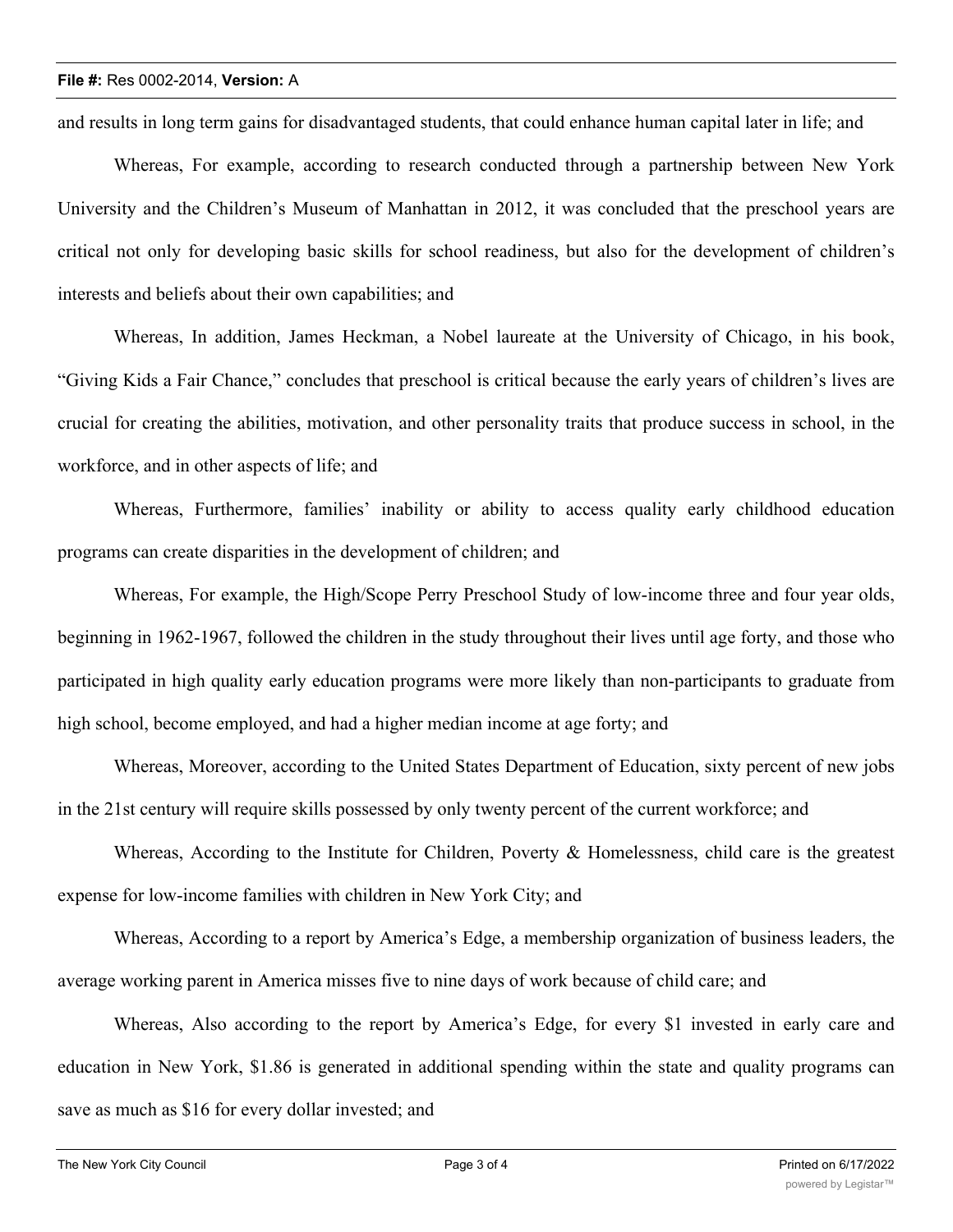and results in long term gains for disadvantaged students, that could enhance human capital later in life; and

Whereas, For example, according to research conducted through a partnership between New York University and the Children's Museum of Manhattan in 2012, it was concluded that the preschool years are critical not only for developing basic skills for school readiness, but also for the development of children's interests and beliefs about their own capabilities; and

Whereas, In addition, James Heckman, a Nobel laureate at the University of Chicago, in his book, "Giving Kids a Fair Chance," concludes that preschool is critical because the early years of children's lives are crucial for creating the abilities, motivation, and other personality traits that produce success in school, in the workforce, and in other aspects of life; and

Whereas, Furthermore, families' inability or ability to access quality early childhood education programs can create disparities in the development of children; and

Whereas, For example, the High/Scope Perry Preschool Study of low-income three and four year olds, beginning in 1962-1967, followed the children in the study throughout their lives until age forty, and those who participated in high quality early education programs were more likely than non-participants to graduate from high school, become employed, and had a higher median income at age forty; and

Whereas, Moreover, according to the United States Department of Education, sixty percent of new jobs in the 21st century will require skills possessed by only twenty percent of the current workforce; and

Whereas, According to the Institute for Children, Poverty & Homelessness, child care is the greatest expense for low-income families with children in New York City; and

Whereas, According to a report by America's Edge, a membership organization of business leaders, the average working parent in America misses five to nine days of work because of child care; and

Whereas, Also according to the report by America's Edge, for every \$1 invested in early care and education in New York, \$1.86 is generated in additional spending within the state and quality programs can save as much as \$16 for every dollar invested; and